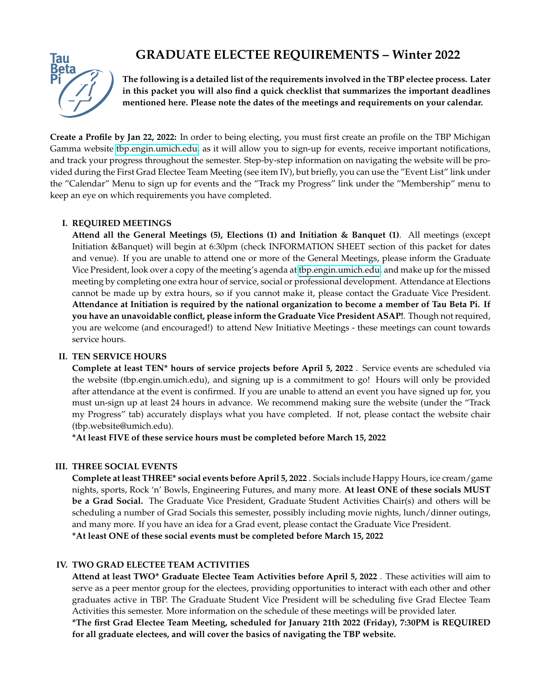# Tau **Beta**

# **GRADUATE ELECTEE REQUIREMENTS – Winter 2022**

**The following is a detailed list of the requirements involved in the TBP electee process. Later in this packet you will also find a quick checklist that summarizes the important deadlines mentioned here. Please note the dates of the meetings and requirements on your calendar.**

**Create a Profile by Jan 22, 2022:** In order to being electing, you must first create an profile on the TBP Michigan Gamma website [tbp.engin.umich.edu,](http://tbp.engin.umich.edu) as it will allow you to sign-up for events, receive important notifications, and track your progress throughout the semester. Step-by-step information on navigating the website will be provided during the First Grad Electee Team Meeting (see item IV), but briefly, you can use the "Event List" link under the "Calendar" Menu to sign up for events and the "Track my Progress" link under the "Membership" menu to keep an eye on which requirements you have completed.

# **I. REQUIRED MEETINGS**

**Attend all the General Meetings (5), Elections (1) and Initiation & Banquet (1)**. All meetings (except Initiation &Banquet) will begin at 6:30pm (check INFORMATION SHEET section of this packet for dates and venue). If you are unable to attend one or more of the General Meetings, please inform the Graduate Vice President, look over a copy of the meeting's agenda at [tbp.engin.umich.edu,](http://tbp.engin.umich.edu) and make up for the missed meeting by completing one extra hour of service, social or professional development. Attendance at Elections cannot be made up by extra hours, so if you cannot make it, please contact the Graduate Vice President. **Attendance at Initiation is required by the national organization to become a member of Tau Beta Pi. If you have an unavoidable conflict, please inform the Graduate Vice President ASAP!**. Though not required, you are welcome (and encouraged!) to attend New Initiative Meetings - these meetings can count towards service hours.

# **II. TEN SERVICE HOURS**

**Complete at least TEN\* hours of service projects before April 5, 2022** . Service events are scheduled via the website (tbp.engin.umich.edu), and signing up is a commitment to go! Hours will only be provided after attendance at the event is confirmed. If you are unable to attend an event you have signed up for, you must un-sign up at least 24 hours in advance. We recommend making sure the website (under the "Track my Progress" tab) accurately displays what you have completed. If not, please contact the website chair (tbp.website@umich.edu).

**\*At least FIVE of these service hours must be completed before March 15, 2022**

# **III. THREE SOCIAL EVENTS**

**Complete at least THREE\* social events before April 5, 2022** . Socials include Happy Hours, ice cream/game nights, sports, Rock 'n' Bowls, Engineering Futures, and many more. **At least ONE of these socials MUST be a Grad Social.** The Graduate Vice President, Graduate Student Activities Chair(s) and others will be scheduling a number of Grad Socials this semester, possibly including movie nights, lunch/dinner outings, and many more. If you have an idea for a Grad event, please contact the Graduate Vice President. **\*At least ONE of these social events must be completed before March 15, 2022**

# **IV. TWO GRAD ELECTEE TEAM ACTIVITIES**

**Attend at least TWO\* Graduate Electee Team Activities before April 5, 2022** . These activities will aim to serve as a peer mentor group for the electees, providing opportunities to interact with each other and other graduates active in TBP. The Graduate Student Vice President will be scheduling five Grad Electee Team Activities this semester. More information on the schedule of these meetings will be provided later. **\*The first Grad Electee Team Meeting, scheduled for January 21th 2022 (Friday), 7:30PM is REQUIRED for all graduate electees, and will cover the basics of navigating the TBP website.**